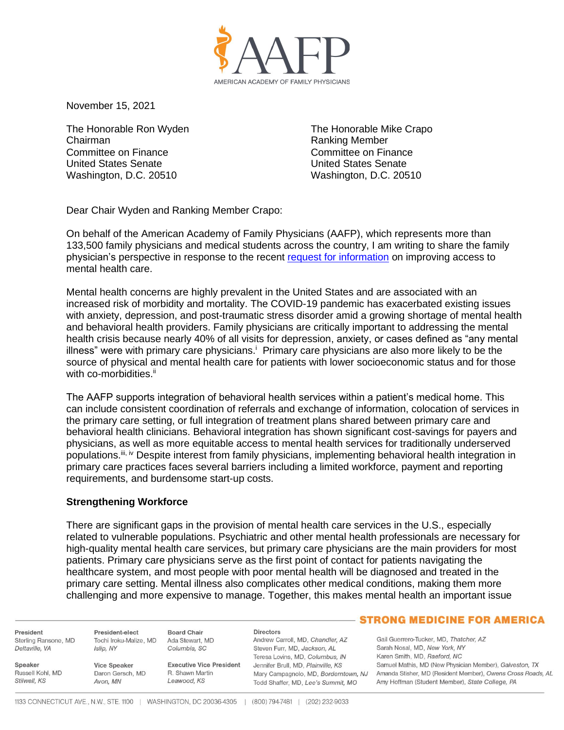

November 15, 2021

The Honorable Ron Wyden Chairman Committee on Finance United States Senate Washington, D.C. 20510

The Honorable Mike Crapo Ranking Member Committee on Finance United States Senate Washington, D.C. 20510

Dear Chair Wyden and Ranking Member Crapo:

On behalf of the American Academy of Family Physicians (AAFP), which represents more than 133,500 family physicians and medical students across the country, I am writing to share the family physician's perspective in response to the recent [request for information](https://www.finance.senate.gov/imo/media/doc/092221%20Bipart%20mental%20health%20RFI.pdf) on improving access to mental health care.

Mental health concerns are highly prevalent in the United States and are associated with an increased risk of morbidity and mortality. The COVID-19 pandemic has exacerbated existing issues with anxiety, depression, and post-traumatic stress disorder amid a growing shortage of mental health and behavioral health providers. Family physicians are critically important to addressing the mental health crisis because nearly 40% of all visits for depression, anxiety, or cases defined as "any mental illness" were with primary care physicians.<sup>i</sup> Primary care physicians are also more likely to be the source of physical and mental health care for patients with lower socioeconomic status and for those with co-morbidities.<sup>ii</sup>

The AAFP supports integration of behavioral health services within a patient's medical home. This can include consistent coordination of referrals and exchange of information, colocation of services in the primary care setting, or full integration of treatment plans shared between primary care and behavioral health clinicians. Behavioral integration has shown significant cost-savings for payers and physicians, as well as more equitable access to mental health services for traditionally underserved populations.<sup>iii, iv</sup> Despite interest from family physicians, implementing behavioral health integration in primary care practices faces several barriers including a limited workforce, payment and reporting requirements, and burdensome start-up costs.

### **Strengthening Workforce**

There are significant gaps in the provision of mental health care services in the U.S., especially related to vulnerable populations. Psychiatric and other mental health professionals are necessary for high-quality mental health care services, but primary care physicians are the main providers for most patients. Primary care physicians serve as the first point of contact for patients navigating the healthcare system, and most people with poor mental health will be diagnosed and treated in the primary care setting. Mental illness also complicates other medical conditions, making them more challenging and more expensive to manage. Together, this makes mental health an important issue

President Sterling Ransone, MD Deltaville, VA

Russell Kohl, MD

Speaker

Stilwell, KS

Tochi Iroku-Malize, MD Ada Stewart, MD Islin, NY

Avon, MN

President-elect

Daron Gersch, MD

Columbia, SC **Vice Speaker** 

R Shawn Martin Leawood, KS

**Directors** Andrew Carroll, MD, Chandler, AZ Steven Furr, MD, Jackson, AL Teresa Lovins, MD, Columbus, IN Executive Vice President Jennifer Brull, MD, Plainville, KS Todd Shaffer, MD, Lee's Summit, MO

### **STRONG MEDICINE FOR AMERICA**

Gail Guerrero-Tucker, MD, Thatcher, AZ Sarah Nosal, MD, New York, NY Karen Smith, MD, Raeford, NC Samuel Mathis, MD (New Physician Member), Galveston, TX Mary Campagnolo, MD, Borderntown, NJ Amanda Stisher, MD (Resident Member), Owens Cross Roads, AL Amy Hoffman (Student Member), State College, PA

**Board Chair**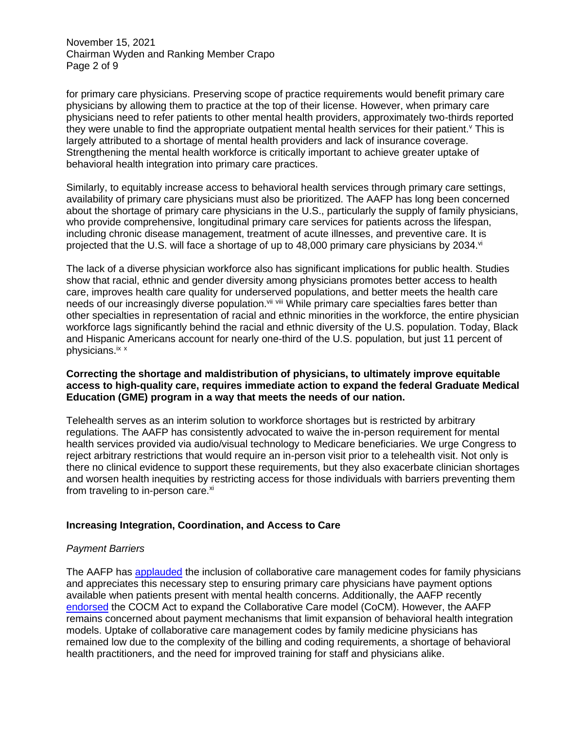November 15, 2021 Chairman Wyden and Ranking Member Crapo Page 2 of 9

for primary care physicians. Preserving scope of practice requirements would benefit primary care physicians by allowing them to practice at the top of their license. However, when primary care physicians need to refer patients to other mental health providers, approximately two-thirds reported they were unable to find the appropriate outpatient mental health services for their patient.<sup>v</sup> This is largely attributed to a shortage of mental health providers and lack of insurance coverage. Strengthening the mental health workforce is critically important to achieve greater uptake of behavioral health integration into primary care practices.

Similarly, to equitably increase access to behavioral health services through primary care settings, availability of primary care physicians must also be prioritized. The AAFP has long been concerned about the shortage of primary care physicians in the U.S., particularly the supply of family physicians, who provide comprehensive, longitudinal primary care services for patients across the lifespan, including chronic disease management, treatment of acute illnesses, and preventive care. It is projected that the U.S. will face a shortage of up to 48,000 primary care physicians by 2034. $\dot{v}$ 

The lack of a diverse physician workforce also has significant implications for public health. Studies show that racial, ethnic and gender diversity among physicians promotes better access to health care, improves health care quality for underserved populations, and better meets the health care needs of our increasingly diverse population. Vii Viii While primary care specialties fares better than other specialties in representation of racial and ethnic minorities in the workforce, the entire physician workforce lags significantly behind the racial and ethnic diversity of the U.S. population. Today, Black and Hispanic Americans account for nearly one-third of the U.S. population, but just 11 percent of physicians.<sup>ix x</sup>

### **Correcting the shortage and maldistribution of physicians, to ultimately improve equitable access to high-quality care, requires immediate action to expand the federal Graduate Medical Education (GME) program in a way that meets the needs of our nation.**

Telehealth serves as an interim solution to workforce shortages but is restricted by arbitrary regulations. The AAFP has consistently advocated to waive the in-person requirement for mental health services provided via audio/visual technology to Medicare beneficiaries. We urge Congress to reject arbitrary restrictions that would require an in-person visit prior to a telehealth visit. Not only is there no clinical evidence to support these requirements, but they also exacerbate clinician shortages and worsen health inequities by restricting access for those individuals with barriers preventing them from traveling to in-person care.<sup>xi</sup>

# **Increasing Integration, Coordination, and Access to Care**

### *Payment Barriers*

The AAFP has [applauded](https://www.aafp.org/dam/AAFP/documents/advocacy/payment/medicare/feesched/LT-CMS-MPFS2017-081916.pdf) the inclusion of collaborative care management codes for family physicians and appreciates this necessary step to ensuring primary care physicians have payment options available when patients present with mental health concerns. Additionally, the AAFP recently [endorsed](https://www.aafp.org/dam/AAFP/documents/advocacy/delivery/medhome/LT-Congress-CoCMAct-091021.pdf) the COCM Act to expand the Collaborative Care model (CoCM). However, the AAFP remains concerned about payment mechanisms that limit expansion of behavioral health integration models. Uptake of collaborative care management codes by family medicine physicians has remained low due to the complexity of the billing and coding requirements, a shortage of behavioral health practitioners, and the need for improved training for staff and physicians alike.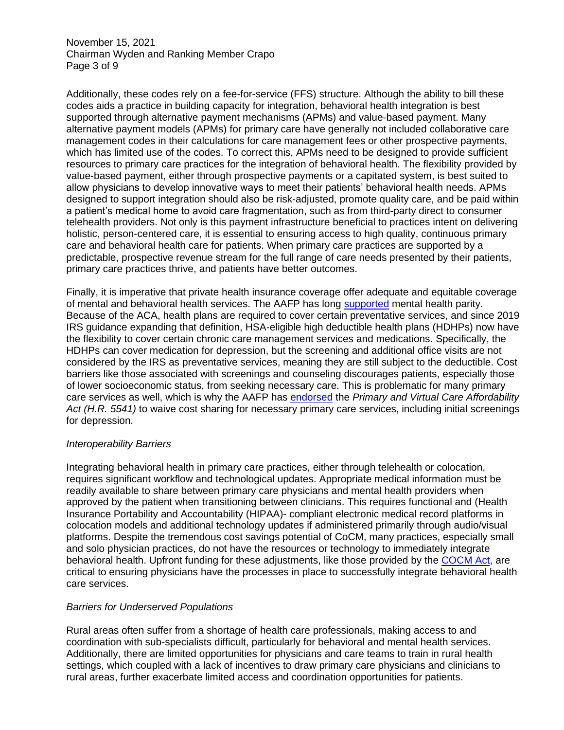November 15, 2021 Chairman Wyden and Ranking Member Crapo Page 3 of 9

Additionally, these codes rely on a fee-for-service (FFS) structure. Although the ability to bill these codes aids a practice in building capacity for integration, behavioral health integration is best supported through alternative payment mechanisms (APMs) and value-based payment. Many alternative payment models (APMs) for primary care have generally not included collaborative care management codes in their calculations for care management fees or other prospective payments, which has limited use of the codes. To correct this, APMs need to be designed to provide sufficient resources to primary care practices for the integration of behavioral health. The flexibility provided by value-based payment, either through prospective payments or a capitated system, is best suited to allow physicians to develop innovative ways to meet their patients' behavioral health needs. APMs designed to support integration should also be risk-adjusted, promote quality care, and be paid within a patient's medical home to avoid care fragmentation, such as from third-party direct to consumer telehealth providers. Not only is this payment infrastructure beneficial to practices intent on delivering holistic, person-centered care, it is essential to ensuring access to high quality, continuous primary care and behavioral health care for patients. When primary care practices are supported by a predictable, prospective revenue stream for the full range of care needs presented by their patients, primary care practices thrive, and patients have better outcomes.

Finally, it is imperative that private health insurance coverage offer adequate and equitable coverage of mental and behavioral health services. The AAFP has long [supported](http://www.groupof6.org/dam/AAFP/documents/advocacy/coverage/insurance/ST-Group6-Coverage-020619.pdf) mental health parity. Because of the ACA, health plans are required to cover certain preventative services, and since 2019 IRS guidance expanding that definition, HSA-eligible high deductible health plans (HDHPs) now have the flexibility to cover certain chronic care management services and medications. Specifically, the HDHPs can cover medication for depression, but the screening and additional office visits are not considered by the IRS as preventative services, meaning they are still subject to the deductible. Cost barriers like those associated with screenings and counseling discourages patients, especially those of lower socioeconomic status, from seeking necessary care. This is problematic for many primary care services as well, which is why the AAFP has [endorsed](https://www.aafp.org/dam/AAFP/documents/advocacy/coverage/aca/LT-Congress-PrimaryVirtualCareAffordabilityAct-100821.pdf) the *Primary and Virtual Care Affordability Act (H.R. 5541)* to waive cost sharing for necessary primary care services, including initial screenings for depression.

### *Interoperability Barriers*

Integrating behavioral health in primary care practices, either through telehealth or colocation, requires significant workflow and technological updates. Appropriate medical information must be readily available to share between primary care physicians and mental health providers when approved by the patient when transitioning between clinicians. This requires functional and (Health Insurance Portability and Accountability (HIPAA)- compliant electronic medical record platforms in colocation models and additional technology updates if administered primarily through audio/visual platforms. Despite the tremendous cost savings potential of CoCM, many practices, especially small and solo physician practices, do not have the resources or technology to immediately integrate behavioral health. Upfront funding for these adjustments, like those provided by the [COCM Act,](https://www.aafp.org/dam/AAFP/documents/advocacy/delivery/medhome/LT-Congress-CoCMAct-091021.pdf) are critical to ensuring physicians have the processes in place to successfully integrate behavioral health care services.

### *Barriers for Underserved Populations*

Rural areas often suffer from a shortage of health care professionals, making access to and coordination with sub-specialists difficult, particularly for behavioral and mental health services. Additionally, there are limited opportunities for physicians and care teams to train in rural health settings, which coupled with a lack of incentives to draw primary care physicians and clinicians to rural areas, further exacerbate limited access and coordination opportunities for patients.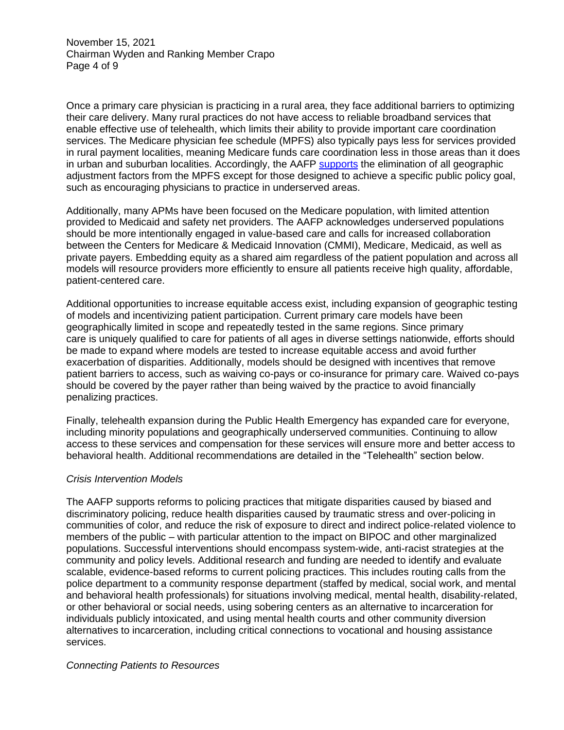November 15, 2021 Chairman Wyden and Ranking Member Crapo Page 4 of 9

Once a primary care physician is practicing in a rural area, they face additional barriers to optimizing their care delivery. Many rural practices do not have access to reliable broadband services that enable effective use of telehealth, which limits their ability to provide important care coordination services. The Medicare physician fee schedule (MPFS) also typically pays less for services provided in rural payment localities, meaning Medicare funds care coordination less in those areas than it does in urban and suburban localities. Accordingly, the AAFP [supports](https://www.aafp.org/dam/AAFP/documents/advocacy/coverage/medicare/LT-House-KeepPhysiciansServingPatientsAct-082521.pdf) the elimination of all geographic adjustment factors from the MPFS except for those designed to achieve a specific public policy goal, such as encouraging physicians to practice in underserved areas.

Additionally, many APMs have been focused on the Medicare population, with limited attention provided to Medicaid and safety net providers. The AAFP acknowledges underserved populations should be more intentionally engaged in value-based care and calls for increased collaboration between the Centers for Medicare & Medicaid Innovation (CMMI), Medicare, Medicaid, as well as private payers. Embedding equity as a shared aim regardless of the patient population and across all models will resource providers more efficiently to ensure all patients receive high quality, affordable, patient-centered care.

Additional opportunities to increase equitable access exist, including expansion of geographic testing of models and incentivizing patient participation. Current primary care models have been geographically limited in scope and repeatedly tested in the same regions. Since primary care is uniquely qualified to care for patients of all ages in diverse settings nationwide, efforts should be made to expand where models are tested to increase equitable access and avoid further exacerbation of disparities. Additionally, models should be designed with incentives that remove patient barriers to access, such as waiving co-pays or co-insurance for primary care. Waived co-pays should be covered by the payer rather than being waived by the practice to avoid financially penalizing practices.

Finally, telehealth expansion during the Public Health Emergency has expanded care for everyone, including minority populations and geographically underserved communities. Continuing to allow access to these services and compensation for these services will ensure more and better access to behavioral health. Additional recommendations are detailed in the "Telehealth" section below.

### *Crisis Intervention Models*

The AAFP supports reforms to policing practices that mitigate disparities caused by biased and discriminatory policing, reduce health disparities caused by traumatic stress and over-policing in communities of color, and reduce the risk of exposure to direct and indirect police-related violence to members of the public – with particular attention to the impact on BIPOC and other marginalized populations. Successful interventions should encompass system-wide, anti-racist strategies at the community and policy levels. Additional research and funding are needed to identify and evaluate scalable, evidence-based reforms to current policing practices. This includes routing calls from the police department to a community response department (staffed by medical, social work, and mental and behavioral health professionals) for situations involving medical, mental health, disability-related, or other behavioral or social needs, using sobering centers as an alternative to incarceration for individuals publicly intoxicated, and using mental health courts and other community diversion alternatives to incarceration, including critical connections to vocational and housing assistance services.

#### *Connecting Patients to Resources*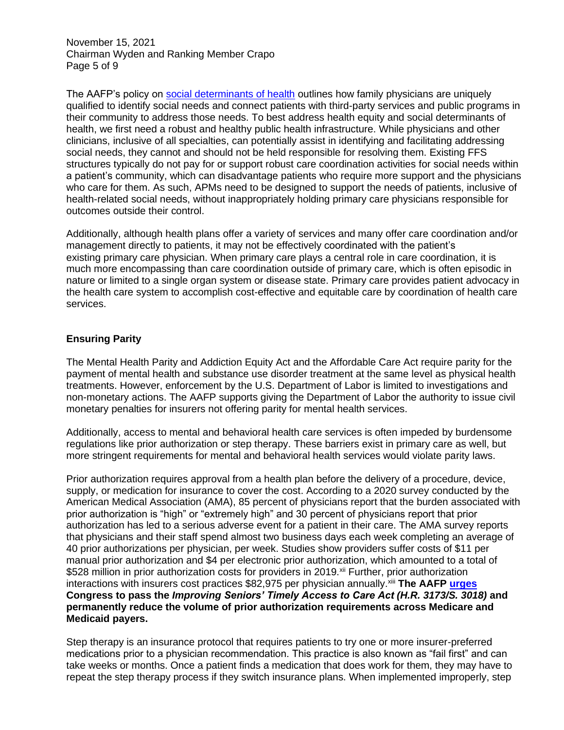November 15, 2021 Chairman Wyden and Ranking Member Crapo Page 5 of 9

The AAFP's policy on [social determinants of health](https://www.aafp.org/about/policies/all/social-determinants-health-family-medicine.html) outlines how family physicians are uniquely qualified to identify social needs and connect patients with third-party services and public programs in their community to address those needs. To best address health equity and social determinants of health, we first need a robust and healthy public health infrastructure. While physicians and other clinicians, inclusive of all specialties, can potentially assist in identifying and facilitating addressing social needs, they cannot and should not be held responsible for resolving them. Existing FFS structures typically do not pay for or support robust care coordination activities for social needs within a patient's community, which can disadvantage patients who require more support and the physicians who care for them. As such, APMs need to be designed to support the needs of patients, inclusive of health-related social needs, without inappropriately holding primary care physicians responsible for outcomes outside their control.

Additionally, although health plans offer a variety of services and many offer care coordination and/or management directly to patients, it may not be effectively coordinated with the patient's existing primary care physician. When primary care plays a central role in care coordination, it is much more encompassing than care coordination outside of primary care, which is often episodic in nature or limited to a single organ system or disease state. Primary care provides patient advocacy in the health care system to accomplish cost-effective and equitable care by coordination of health care services.

### **Ensuring Parity**

The Mental Health Parity and Addiction Equity Act and the Affordable Care Act require parity for the payment of mental health and substance use disorder treatment at the same level as physical health treatments. However, enforcement by the U.S. Department of Labor is limited to investigations and non-monetary actions. The AAFP supports giving the Department of Labor the authority to issue civil monetary penalties for insurers not offering parity for mental health services.

Additionally, access to mental and behavioral health care services is often impeded by burdensome regulations like prior authorization or step therapy. These barriers exist in primary care as well, but more stringent requirements for mental and behavioral health services would violate parity laws.

Prior authorization requires approval from a health plan before the delivery of a procedure, device, supply, or medication for insurance to cover the cost. According to a 2020 survey conducted by the American Medical Association (AMA), 85 percent of physicians report that the burden associated with prior authorization is "high" or "extremely high" and 30 percent of physicians report that prior authorization has led to a serious adverse event for a patient in their care. The AMA survey reports that physicians and their staff spend almost two business days each week completing an average of 40 prior authorizations per physician, per week. Studies show providers suffer costs of \$11 per manual prior authorization and \$4 per electronic prior authorization, which amounted to a total of \$528 million in prior authorization costs for providers in 2019.<sup>xii</sup> Further, prior authorization interactions with insurers cost practices \$82,975 per physician annually.xiii **The AAFP [urges](https://www.regrelief.org/wp-content/uploads/2021/05/RRC-FINAL-PRESS-RELEASE-HOUSE-BILL-INTRO-D0948815.pdf) Congress to pass the** *Improving Seniors' Timely Access to Care Act (H.R. 3173/S. 3018)* **and permanently reduce the volume of prior authorization requirements across Medicare and Medicaid payers.** 

Step therapy is an insurance protocol that requires patients to try one or more insurer-preferred medications prior to a physician recommendation. This practice is also known as "fail first" and can take weeks or months. Once a patient finds a medication that does work for them, they may have to repeat the step therapy process if they switch insurance plans. When implemented improperly, step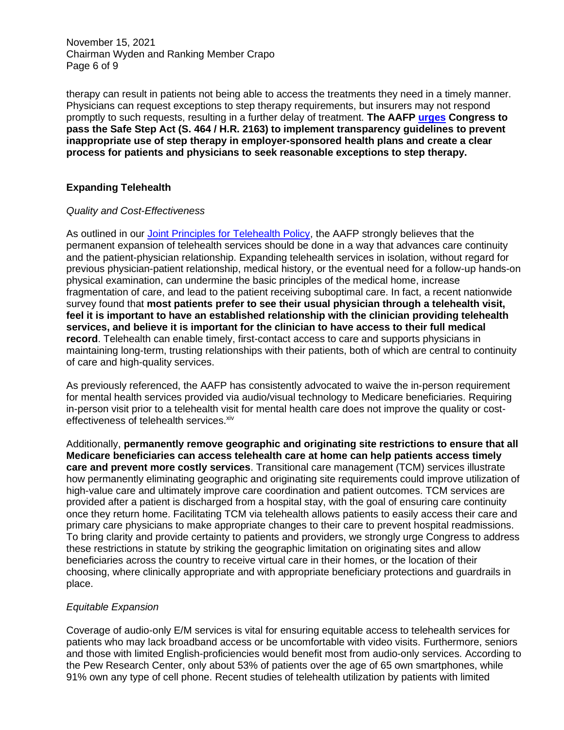November 15, 2021 Chairman Wyden and Ranking Member Crapo Page 6 of 9

therapy can result in patients not being able to access the treatments they need in a timely manner. Physicians can request exceptions to step therapy requirements, but insurers may not respond promptly to such requests, resulting in a further delay of treatment. **The AAFP [urges](https://www.aafp.org/dam/AAFP/documents/advocacy/legal/administrative/LT-SupportingSafeStepAct-051921.pdf) Congress to pass the Safe Step Act (S. 464 / H.R. 2163) to implement transparency guidelines to prevent inappropriate use of step therapy in employer-sponsored health plans and create a clear process for patients and physicians to seek reasonable exceptions to step therapy.**

# **Expanding Telehealth**

### *Quality and Cost-Effectiveness*

As outlined in our [Joint Principles for Telehealth Policy,](https://www.aafp.org/dam/AAFP/documents/advocacy/health_it/telehealth/LT-Congress-TelehealthHELP-070120.pdf) the AAFP strongly believes that the permanent expansion of telehealth services should be done in a way that advances care continuity and the patient-physician relationship. Expanding telehealth services in isolation, without regard for previous physician-patient relationship, medical history, or the eventual need for a follow-up hands-on physical examination, can undermine the basic principles of the medical home, increase fragmentation of care, and lead to the patient receiving suboptimal care. In fact, a recent nationwide survey found that **most patients prefer to see their usual physician through a telehealth visit, feel it is important to have an established relationship with the clinician providing telehealth services, and believe it is important for the clinician to have access to their full medical record**. Telehealth can enable timely, first-contact access to care and supports physicians in maintaining long-term, trusting relationships with their patients, both of which are central to continuity of care and high-quality services.

As previously referenced, the AAFP has consistently advocated to waive the in-person requirement for mental health services provided via audio/visual technology to Medicare beneficiaries. Requiring in-person visit prior to a telehealth visit for mental health care does not improve the quality or costeffectiveness of telehealth services. xiv

Additionally, **permanently remove geographic and originating site restrictions to ensure that all Medicare beneficiaries can access telehealth care at home can help patients access timely care and prevent more costly services**. Transitional care management (TCM) services illustrate how permanently eliminating geographic and originating site requirements could improve utilization of high-value care and ultimately improve care coordination and patient outcomes. TCM services are provided after a patient is discharged from a hospital stay, with the goal of ensuring care continuity once they return home. Facilitating TCM via telehealth allows patients to easily access their care and primary care physicians to make appropriate changes to their care to prevent hospital readmissions. To bring clarity and provide certainty to patients and providers, we strongly urge Congress to address these restrictions in statute by striking the geographic limitation on originating sites and allow beneficiaries across the country to receive virtual care in their homes, or the location of their choosing, where clinically appropriate and with appropriate beneficiary protections and guardrails in place.

### *Equitable Expansion*

Coverage of audio-only E/M services is vital for ensuring equitable access to telehealth services for patients who may lack broadband access or be uncomfortable with video visits. Furthermore, seniors and those with limited English-proficiencies would benefit most from audio-only services. According to the Pew Research Center, only about 53% of patients over the age of 65 own smartphones, while 91% own any type of cell phone. Recent studies of telehealth utilization by patients with limited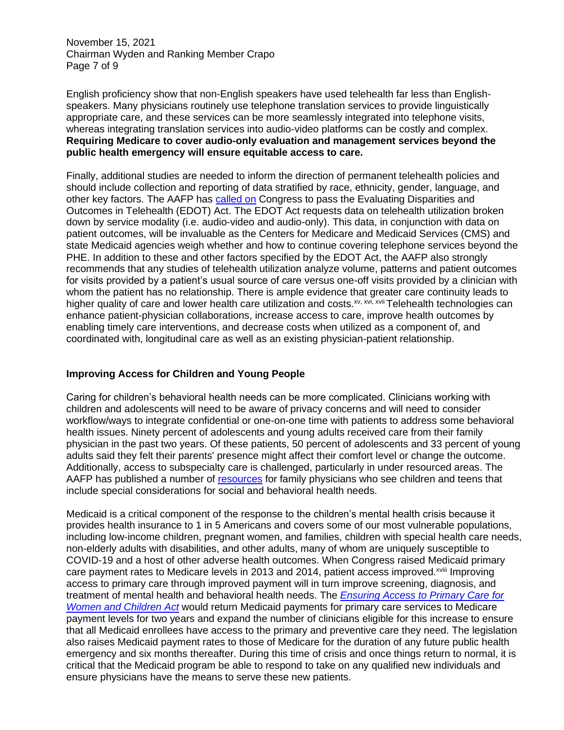November 15, 2021 Chairman Wyden and Ranking Member Crapo Page 7 of 9

English proficiency show that non-English speakers have used telehealth far less than Englishspeakers. Many physicians routinely use telephone translation services to provide linguistically appropriate care, and these services can be more seamlessly integrated into telephone visits, whereas integrating translation services into audio-video platforms can be costly and complex. **Requiring Medicare to cover audio-only evaluation and management services beyond the public health emergency will ensure equitable access to care.**

Finally, additional studies are needed to inform the direction of permanent telehealth policies and should include collection and reporting of data stratified by race, ethnicity, gender, language, and other key factors. The AAFP has [called](https://www.aafp.org/dam/AAFP/documents/advocacy/health_it/telehealth/LT-RepKelly-EDOTAct-072821.pdf) on Congress to pass the Evaluating Disparities and Outcomes in Telehealth (EDOT) Act. The EDOT Act requests data on telehealth utilization broken down by service modality (i.e. audio-video and audio-only). This data, in conjunction with data on patient outcomes, will be invaluable as the Centers for Medicare and Medicaid Services (CMS) and state Medicaid agencies weigh whether and how to continue covering telephone services beyond the PHE. In addition to these and other factors specified by the EDOT Act, the AAFP also strongly recommends that any studies of telehealth utilization analyze volume, patterns and patient outcomes for visits provided by a patient's usual source of care versus one-off visits provided by a clinician with whom the patient has no relationship. There is ample evidence that greater care continuity leads to higher quality of care and lower health care utilization and costs.<sup>xv, xvi, xvii</sup> Telehealth technologies can enhance patient-physician collaborations, increase access to care, improve health outcomes by enabling timely care interventions, and decrease costs when utilized as a component of, and coordinated with, longitudinal care as well as an existing physician-patient relationship.

# **Improving Access for Children and Young People**

Caring for children's behavioral health needs can be more complicated. Clinicians working with children and adolescents will need to be aware of privacy concerns and will need to consider workflow/ways to integrate confidential or one-on-one time with patients to address some behavioral health issues. Ninety percent of adolescents and young adults received care from their family physician in the past two years. Of these patients, 50 percent of adolescents and 33 percent of young adults said they felt their parents' presence might affect their comfort level or change the outcome. Additionally, access to subspecialty care is challenged, particularly in under resourced areas. The AAFP has published a number of [resources](https://www.aafp.org/family-physician/patient-care/prevention-wellness/emotional-wellbeing/adolescent-and-young-adult-health.html) for family physicians who see children and teens that include special considerations for social and behavioral health needs.

Medicaid is a critical component of the response to the children's mental health crisis because it provides health insurance to 1 in 5 Americans and covers some of our most vulnerable populations, including low-income children, pregnant women, and families, children with special health care needs, non-elderly adults with disabilities, and other adults, many of whom are uniquely susceptible to COVID-19 and a host of other adverse health outcomes. When Congress raised Medicaid primary care payment rates to Medicare levels in 2013 and 2014, patient access improved.<sup>xviii</sup> Improving access to primary care through improved payment will in turn improve screening, diagnosis, and treatment of mental health and behavioral health needs. The *[Ensuring Access to Primary Care for](https://www.aafp.org/dam/AAFP/documents/advocacy/payment/medicaid/LT-SenBrownMurray-EnsuringAccessPrimaryCareWomenChildrenAct-052721.pdf)  [Women and Children Act](https://www.aafp.org/dam/AAFP/documents/advocacy/payment/medicaid/LT-SenBrownMurray-EnsuringAccessPrimaryCareWomenChildrenAct-052721.pdf)* would return Medicaid payments for primary care services to Medicare payment levels for two years and expand the number of clinicians eligible for this increase to ensure that all Medicaid enrollees have access to the primary and preventive care they need. The legislation also raises Medicaid payment rates to those of Medicare for the duration of any future public health emergency and six months thereafter. During this time of crisis and once things return to normal, it is critical that the Medicaid program be able to respond to take on any qualified new individuals and ensure physicians have the means to serve these new patients.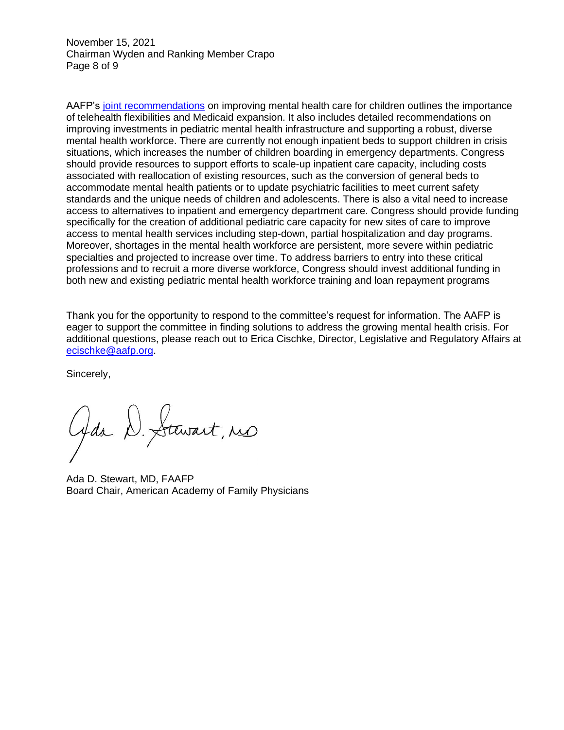November 15, 2021 Chairman Wyden and Ranking Member Crapo Page 8 of 9

AAFP's joint [recommendations](https://www.aafp.org/dam/AAFP/documents/advocacy/coverage/medicaid/LT-Congress-on-ChildMentalHealth-072921.pdf) on improving mental health care for children outlines the importance of telehealth flexibilities and Medicaid expansion. It also includes detailed recommendations on improving investments in pediatric mental health infrastructure and supporting a robust, diverse mental health workforce. There are currently not enough inpatient beds to support children in crisis situations, which increases the number of children boarding in emergency departments. Congress should provide resources to support efforts to scale-up inpatient care capacity, including costs associated with reallocation of existing resources, such as the conversion of general beds to accommodate mental health patients or to update psychiatric facilities to meet current safety standards and the unique needs of children and adolescents. There is also a vital need to increase access to alternatives to inpatient and emergency department care. Congress should provide funding specifically for the creation of additional pediatric care capacity for new sites of care to improve access to mental health services including step-down, partial hospitalization and day programs. Moreover, shortages in the mental health workforce are persistent, more severe within pediatric specialties and projected to increase over time. To address barriers to entry into these critical professions and to recruit a more diverse workforce, Congress should invest additional funding in both new and existing pediatric mental health workforce training and loan repayment programs

Thank you for the opportunity to respond to the committee's request for information. The AAFP is eager to support the committee in finding solutions to address the growing mental health crisis. For additional questions, please reach out to Erica Cischke, Director, Legislative and Regulatory Affairs at [ecischke@aafp.org.](mailto:ecischke@aafp.org)

Sincerely,

Gda D. Stewart, res

Ada D. Stewart, MD, FAAFP Board Chair, American Academy of Family Physicians